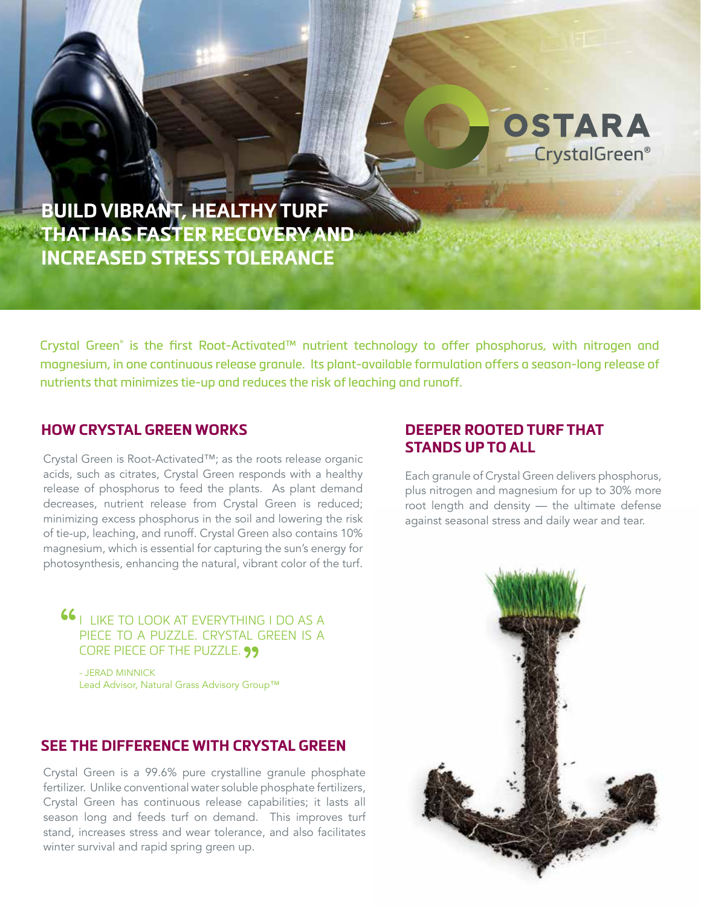

**BUILD VIBRANT, HEALTHY TURF THAT HAS FASTER RECOVERY AND INCREASED STRESS TOLERANCE**

Crystal Green® is the first Root-Activated™ nutrient technology to offer phosphorus, with nitrogen and magnesium, in one continuous release granule. Its plant-available formulation offers a season-long release of nutrients that minimizes tie-up and reduces the risk of leaching and runoff.

#### **HOW CRYSTAL GREEN WORKS**

Crystal Green is Root-Activated™; as the roots release organic acids, such as citrates, Crystal Green responds with a healthy release of phosphorus to feed the plants. As plant demand decreases, nutrient release from Crystal Green is reduced; minimizing excess phosphorus in the soil and lowering the risk of tie-up, leaching, and runoff. Crystal Green also contains 10% magnesium, which is essential for capturing the sun's energy for photosynthesis, enhancing the natural, vibrant color of the turf.

**66** I LIKE TO LOOK AT EVERYTHING I DO AS A PIECE TO A PUZZLE. CRYSTAL GREEN IS A

CORE PIECE OF THE PUZZLE. **99**<br>- Jerad Minnick<br>Load Adviser Natural Cross Adviser: Cro - JERAD MINNICK Lead Advisor, Natural Grass Advisory Group™

### **SEE THE DIFFERENCE WITH CRYSTAL GREEN**

Crystal Green is a 99.6% pure crystalline granule phosphate fertilizer. Unlike conventional water soluble phosphate fertilizers, Crystal Green has continuous release capabilities; it lasts all season long and feeds turf on demand. This improves turf stand, increases stress and wear tolerance, and also facilitates winter survival and rapid spring green up.

# **DEEPER ROOTED TURF THAT STANDS UP TO ALL**

Each granule of Crystal Green delivers phosphorus, plus nitrogen and magnesium for up to 30% more root length and density — the ultimate defense against seasonal stress and daily wear and tear.